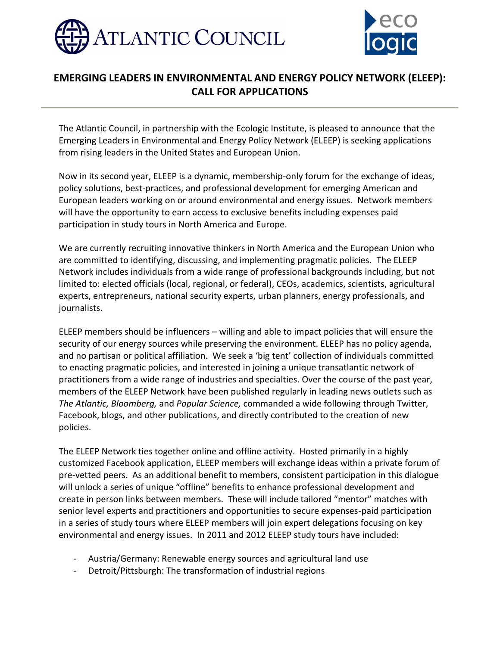



## **EMERGING LEADERS IN ENVIRONMENTAL AND ENERGY POLICY NETWORK (ELEEP): CALL FOR APPLICATIONS**

The Atlantic Council, in partnership with the Ecologic Institute, is pleased to announce that the Emerging Leaders in Environmental and Energy Policy Network (ELEEP) is seeking applications from rising leaders in the United States and European Union.

Now in its second year, ELEEP is a dynamic, membership-only forum for the exchange of ideas, policy solutions, best-practices, and professional development for emerging American and European leaders working on or around environmental and energy issues. Network members will have the opportunity to earn access to exclusive benefits including expenses paid participation in study tours in North America and Europe.

We are currently recruiting innovative thinkers in North America and the European Union who are committed to identifying, discussing, and implementing pragmatic policies. The ELEEP Network includes individuals from a wide range of professional backgrounds including, but not limited to: elected officials (local, regional, or federal), CEOs, academics, scientists, agricultural experts, entrepreneurs, national security experts, urban planners, energy professionals, and journalists.

ELEEP members should be influencers – willing and able to impact policies that will ensure the security of our energy sources while preserving the environment. ELEEP has no policy agenda, and no partisan or political affiliation. We seek a 'big tent' collection of individuals committed to enacting pragmatic policies, and interested in joining a unique transatlantic network of practitioners from a wide range of industries and specialties. Over the course of the past year, members of the ELEEP Network have been published regularly in leading news outlets such as *The Atlantic, Bloomberg,* and *Popular Science,* commanded a wide following through Twitter, Facebook, blogs, and other publications, and directly contributed to the creation of new policies.

The ELEEP Network ties together online and offline activity. Hosted primarily in a highly customized Facebook application, ELEEP members will exchange ideas within a private forum of pre-vetted peers. As an additional benefit to members, consistent participation in this dialogue will unlock a series of unique "offline" benefits to enhance professional development and create in person links between members. These will include tailored "mentor" matches with senior level experts and practitioners and opportunities to secure expenses-paid participation in a series of study tours where ELEEP members will join expert delegations focusing on key environmental and energy issues. In 2011 and 2012 ELEEP study tours have included:

- Austria/Germany: Renewable energy sources and agricultural land use
- Detroit/Pittsburgh: The transformation of industrial regions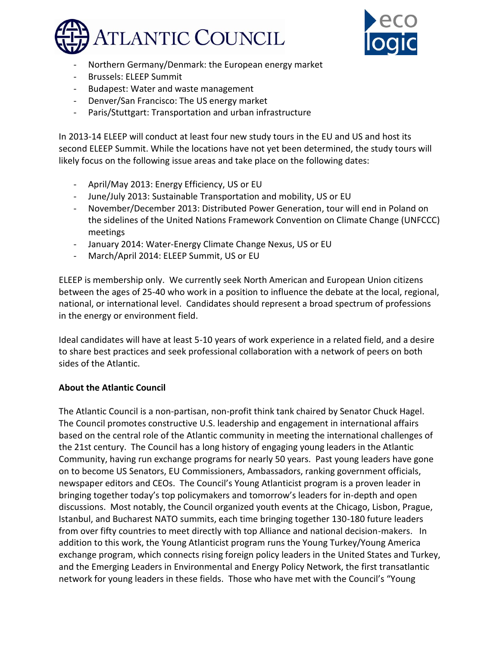



- Northern Germany/Denmark: the European energy market
- Brussels: ELEEP Summit
- Budapest: Water and waste management
- Denver/San Francisco: The US energy market
- Paris/Stuttgart: Transportation and urban infrastructure

In 2013-14 ELEEP will conduct at least four new study tours in the EU and US and host its second ELEEP Summit. While the locations have not yet been determined, the study tours will likely focus on the following issue areas and take place on the following dates:

- April/May 2013: Energy Efficiency, US or EU
- June/July 2013: Sustainable Transportation and mobility, US or EU
- November/December 2013: Distributed Power Generation, tour will end in Poland on the sidelines of the United Nations Framework Convention on Climate Change (UNFCCC) meetings
- January 2014: Water-Energy Climate Change Nexus, US or EU
- March/April 2014: ELEEP Summit, US or EU

ELEEP is membership only. We currently seek North American and European Union citizens between the ages of 25-40 who work in a position to influence the debate at the local, regional, national, or international level. Candidates should represent a broad spectrum of professions in the energy or environment field.

Ideal candidates will have at least 5-10 years of work experience in a related field, and a desire to share best practices and seek professional collaboration with a network of peers on both sides of the Atlantic.

### **About the Atlantic Council**

The Atlantic Council is a non-partisan, non-profit think tank chaired by Senator Chuck Hagel. The Council promotes constructive U.S. leadership and engagement in international affairs based on the central role of the Atlantic community in meeting the international challenges of the 21st century. The Council has a long history of engaging young leaders in the Atlantic Community, having run exchange programs for nearly 50 years. Past young leaders have gone on to become US Senators, EU Commissioners, Ambassadors, ranking government officials, newspaper editors and CEOs. The Council's Young Atlanticist program is a proven leader in bringing together today's top policymakers and tomorrow's leaders for in-depth and open discussions. Most notably, the Council organized youth events at the Chicago, Lisbon, Prague, Istanbul, and Bucharest NATO summits, each time bringing together 130-180 future leaders from over fifty countries to meet directly with top Alliance and national decision-makers. In addition to this work, the Young Atlanticist program runs the Young Turkey/Young America exchange program, which connects rising foreign policy leaders in the United States and Turkey, and the Emerging Leaders in Environmental and Energy Policy Network, the first transatlantic network for young leaders in these fields. Those who have met with the Council's "Young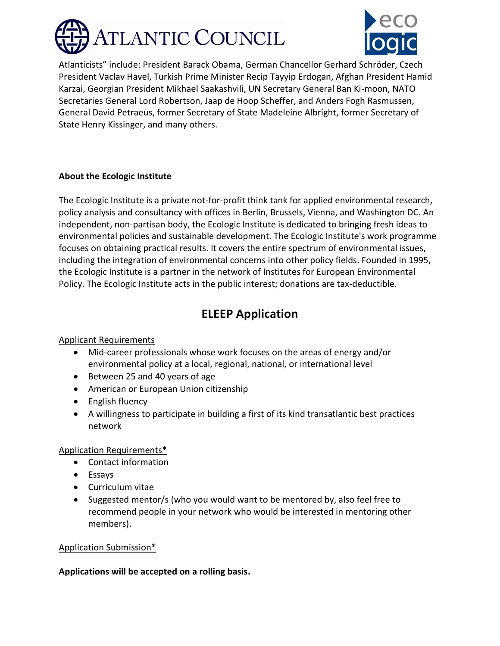



Atlanticists" include: President Barack Obama, German Chancellor Gerhard Schröder, Czech President Vaclav Havel, Turkish Prime Minister Recip Tayyip Erdogan, Afghan President Hamid Karzai, Georgian President Mikhael Saakashvili, UN Secretary General Ban Ki-moon, NATO Secretaries General Lord Robertson, Jaap de Hoop Scheffer, and Anders Fogh Rasmussen, General David Petraeus, former Secretary of State Madeleine Albright, former Secretary of State Henry Kissinger, and many others.

#### **About the Ecologic Institute**

The Ecologic Institute is a private not-for-profit think tank for applied environmental research, policy analysis and consultancy with offices in Berlin, Brussels, Vienna, and Washington DC. An independent, non-partisan body, the Ecologic Institute is dedicated to bringing fresh ideas to environmental policies and sustainable development. The Ecologic Institute's work programme focuses on obtaining practical results. It covers the entire spectrum of environmental issues, including the integration of environmental concerns into other policy fields. Founded in 1995, the Ecologic Institute is a partner in the network of Institutes for European Environmental Policy. The Ecologic Institute acts in the public interest; donations are tax-deductible.

## **ELEEP Application**

#### Applicant Requirements

- Mid-career professionals whose work focuses on the areas of energy and/or environmental policy at a local, regional, national, or international level
- Between 25 and 40 years of age
- American or European Union citizenship
- English fluency
- A willingness to participate in building a first of its kind transatlantic best practices network

### Application Requirements\*

- Contact information
- Essays
- Curriculum vitae
- Suggested mentor/s (who you would want to be mentored by, also feel free to recommend people in your network who would be interested in mentoring other members).

#### Application Submission\*

#### **Applications will be accepted on a rolling basis.**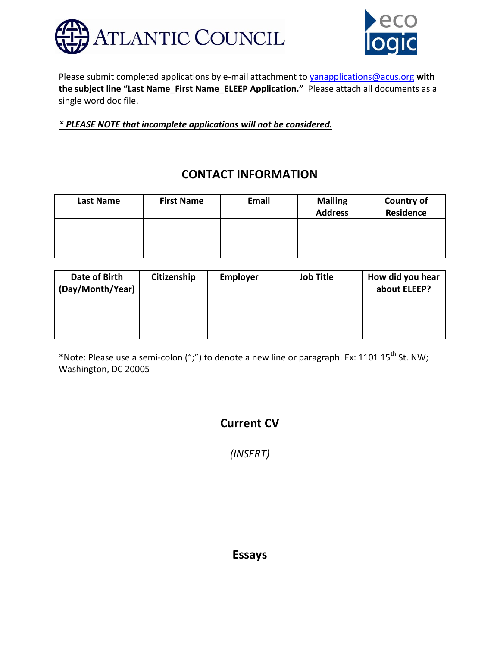



Please submit completed applications by e-mail attachment to [yanapplications@acus.org](mailto:yanapplications@acus.org) **with the subject line "Last Name\_First Name\_ELEEP Application."** Please attach all documents as a single word doc file.

*\* PLEASE NOTE that incomplete applications will not be considered.*

## **CONTACT INFORMATION**

| Last Name | <b>First Name</b> | Email | <b>Mailing</b><br><b>Address</b> | <b>Country of</b><br><b>Residence</b> |
|-----------|-------------------|-------|----------------------------------|---------------------------------------|
|           |                   |       |                                  |                                       |
|           |                   |       |                                  |                                       |

| Date of Birth<br>(Day/Month/Year) | Citizenship | <b>Employer</b> | <b>Job Title</b> | How did you hear<br>about ELEEP? |
|-----------------------------------|-------------|-----------------|------------------|----------------------------------|
|                                   |             |                 |                  |                                  |
|                                   |             |                 |                  |                                  |

\*Note: Please use a semi-colon (";") to denote a new line or paragraph. Ex: 1101  $15^{th}$  St. NW; Washington, DC 20005

# **Current CV**

*(INSERT)*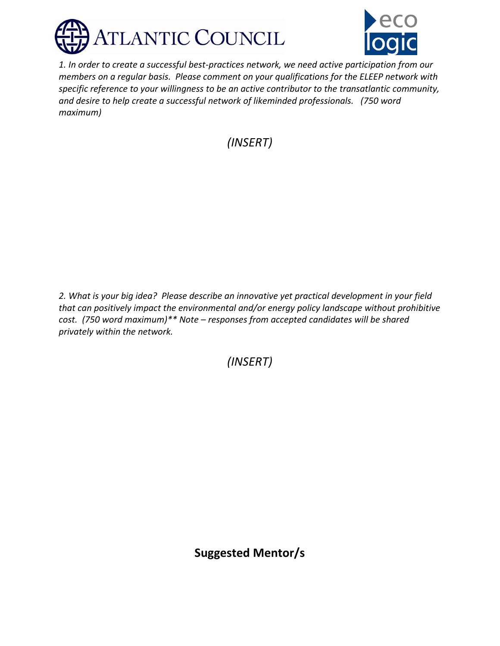



*1. In order to create a successful best-practices network, we need active participation from our members on a regular basis. Please comment on your qualifications for the ELEEP network with specific reference to your willingness to be an active contributor to the transatlantic community, and desire to help create a successful network of likeminded professionals. (750 word maximum)*

*(INSERT)*

*2. What is your big idea? Please describe an innovative yet practical development in your field that can positively impact the environmental and/or energy policy landscape without prohibitive cost. (750 word maximum)\*\* Note – responses from accepted candidates will be shared privately within the network.* 

*(INSERT)*

**Suggested Mentor/s**